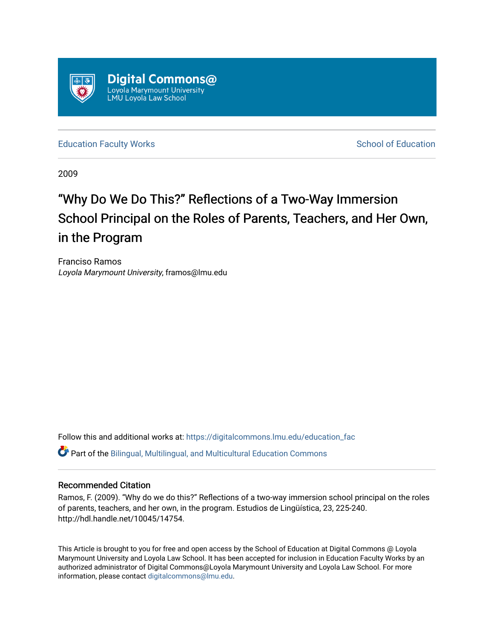

[Education Faculty Works](https://digitalcommons.lmu.edu/education_fac) **Education** School of Education

2009

# "Why Do We Do This?" Reflections of a Two-Way Immersion School Principal on the Roles of Parents, Teachers, and Her Own, in the Program

Franciso Ramos Loyola Marymount University, framos@lmu.edu

Follow this and additional works at: [https://digitalcommons.lmu.edu/education\\_fac](https://digitalcommons.lmu.edu/education_fac?utm_source=digitalcommons.lmu.edu%2Feducation_fac%2F7&utm_medium=PDF&utm_campaign=PDFCoverPages)  Part of the [Bilingual, Multilingual, and Multicultural Education Commons](http://network.bepress.com/hgg/discipline/785?utm_source=digitalcommons.lmu.edu%2Feducation_fac%2F7&utm_medium=PDF&utm_campaign=PDFCoverPages) 

# Recommended Citation

Ramos, F. (2009). "Why do we do this?" Reflections of a two-way immersion school principal on the roles of parents, teachers, and her own, in the program. Estudios de Lingüística, 23, 225-240. http://hdl.handle.net/10045/14754.

This Article is brought to you for free and open access by the School of Education at Digital Commons @ Loyola Marymount University and Loyola Law School. It has been accepted for inclusion in Education Faculty Works by an authorized administrator of Digital Commons@Loyola Marymount University and Loyola Law School. For more information, please contact [digitalcommons@lmu.edu.](mailto:digitalcommons@lmu.edu)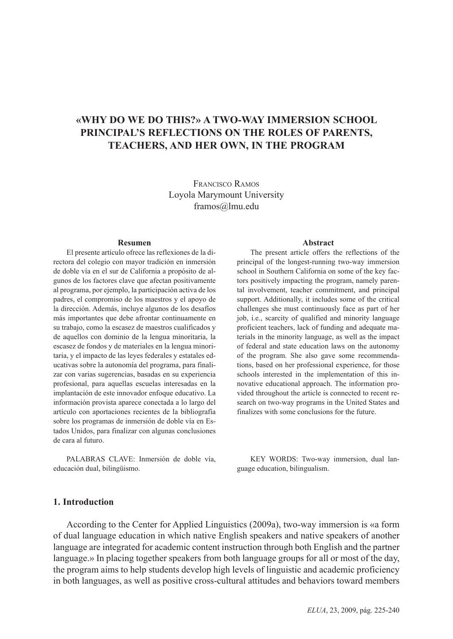# **«WHY DO WE DO THIS?» A TWO-WAY IMMERSION SCHOOL PRINCIPAL'S REFLECTIONS ON THE ROLES OF PARENTS, TEACHERS, AND HER OWN, IN THE PROGRAM**

FRANCISCO RAMOS Loyola Marymount University framos@lmu.edu

#### **Resumen**

El presente artículo ofrece las reflexiones de la directora del colegio con mayor tradición en inmersión de doble vía en el sur de California a propósito de algunos de los factores clave que afectan positivamente al programa, por ejemplo, la participación activa de los padres, el compromiso de los maestros y el apoyo de la dirección. Además, incluye algunos de los desafíos más importantes que debe afrontar continuamente en su trabajo, como la escasez de maestros cualificados y de aquellos con dominio de la lengua minoritaria, la escasez de fondos y de materiales en la lengua minoritaria, y el impacto de las leyes federales y estatales educativas sobre la autonomía del programa, para finalizar con varias sugerencias, basadas en su experiencia profesional, para aquellas escuelas interesadas en la implantación de este innovador enfoque educativo. La información provista aparece conectada a lo largo del artículo con aportaciones recientes de la bibliografía sobre los programas de inmersión de doble vía en Estados Unidos, para finalizar con algunas conclusiones de cara al futuro.

PALABRAS CLAVE: Inmersión de doble vía, educación dual, bilingüismo.

#### **Abstract**

The present article offers the reflections of the principal of the longest-running two-way immersion school in Southern California on some of the key factors positively impacting the program, namely parental involvement, teacher commitment, and principal support. Additionally, it includes some of the critical challenges she must continuously face as part of her job, i.e., scarcity of qualified and minority language proficient teachers, lack of funding and adequate materials in the minority language, as well as the impact of federal and state education laws on the autonomy of the program. She also gave some recommendations, based on her professional experience, for those schools interested in the implementation of this innovative educational approach. The information provided throughout the article is connected to recent research on two-way programs in the United States and finalizes with some conclusions for the future.

KEY WORDS: Two-way immersion, dual language education, bilingualism.

#### **1. Introduction**

According to the Center for Applied Linguistics (2009a), two-way immersion is «a form of dual language education in which native English speakers and native speakers of another language are integrated for academic content instruction through both English and the partner language.» In placing together speakers from both language groups for all or most of the day, the program aims to help students develop high levels of linguistic and academic proficiency in both languages, as well as positive cross-cultural attitudes and behaviors toward members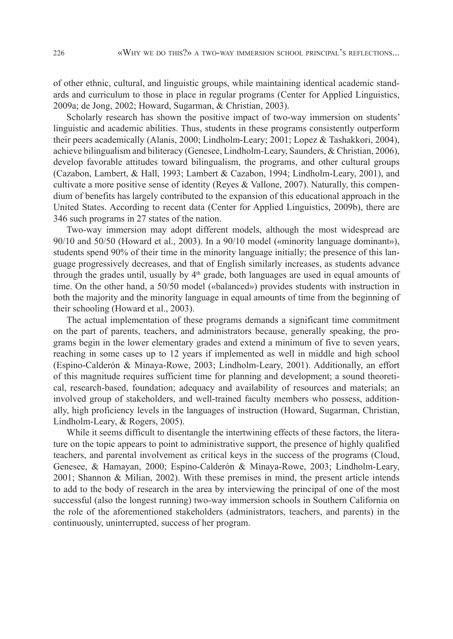of other ethnic, cultural, and linguistic groups, while maintaining identical academic standards and curriculum to those in place in regular programs (Center for Applied Linguistics, 2009a; de Jong, 2002; Howard, Sugarman, & Christian, 2003).

Scholarly research has shown the positive impact of two-way immersion on students' linguistic and academic abilities. Thus, students in these programs consistently outperform their peers academically (Alanis, 2000; Lindholm-Leary; 2001; Lopez & Tashakkori, 2004), achieve bilingualism and biliteracy (Genesee, Lindholm-Leary, Saunders, & Christian, 2006), develop favorable attitudes toward bilingualism, the programs, and other cultural groups (Cazabon, Lambert, & Hall, 1993; Lambert & Cazabon, 1994; Lindholm-Leary, 2001), and cultivate a more positive sense of identity (Reyes & Vallone, 2007). Naturally, this compendium of benefits has largely contributed to the expansion of this educational approach in the United States. According to recent data (Center for Applied Linguistics, 2009b), there are 346 such programs in 27 states of the nation.

Two-way immersion may adopt different models, although the most widespread are 90/10 and 50/50 (Howard et al., 2003). In a 90/10 model («minority language dominant»), students spend 90% of their time in the minority language initially; the presence of this language progressively decreases, and that of English similarly increases, as students advance through the grades until, usually by  $4<sup>th</sup>$  grade, both languages are used in equal amounts of time. On the other hand, a 50/50 model («balanced») provides students with instruction in both the majority and the minority language in equal amounts of time from the beginning of their schooling (Howard et al., 2003).

The actual implementation of these programs demands a significant time commitment on the part of parents, teachers, and administrators because, generally speaking, the programs begin in the lower elementary grades and extend a minimum of five to seven years, reaching in some cases up to 12 years if implemented as well in middle and high school (Espino-Calderón & Minaya-Rowe, 2003; Lindholm-Leary, 2001). Additionally, an effort of this magnitude requires sufficient time for planning and development; a sound theoretical, research-based, foundation; adequacy and availability of resources and materials; an involved group of stakeholders, and well-trained faculty members who possess, additionally, high proficiency levels in the languages of instruction (Howard, Sugarman, Christian, Lindholm-Leary, & Rogers, 2005).

While it seems difficult to disentangle the intertwining effects of these factors, the literature on the topic appears to point to administrative support, the presence of highly qualified teachers, and parental involvement as critical keys in the success of the programs (Cloud, Genesee, & Hamayan, 2000; Espino-Calderón & Minaya-Rowe, 2003; Lindholm-Leary, 2001; Shannon & Milian, 2002). With these premises in mind, the present article intends to add to the body of research in the area by interviewing the principal of one of the most successful (also the longest running) two-way immersion schools in Southern California on the role of the aforementioned stakeholders (administrators, teachers, and parents) in the continuously, uninterrupted, success of her program.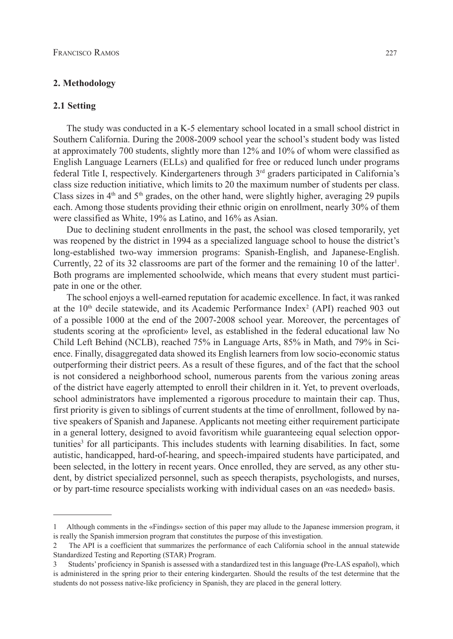### **2. Methodology**

#### **2.1 Setting**

The study was conducted in a K-5 elementary school located in a small school district in Southern California. During the 2008-2009 school year the school's student body was listed at approximately 700 students, slightly more than 12% and 10% of whom were classified as English Language Learners (ELLs) and qualified for free or reduced lunch under programs federal Title I, respectively. Kindergarteners through  $3<sup>rd</sup>$  graders participated in California's class size reduction initiative, which limits to 20 the maximum number of students per class. Class sizes in  $4<sup>th</sup>$  and  $5<sup>th</sup>$  grades, on the other hand, were slightly higher, averaging 29 pupils each. Among those students providing their ethnic origin on enrollment, nearly 30% of them were classified as White, 19% as Latino, and 16% as Asian.

Due to declining student enrollments in the past, the school was closed temporarily, yet was reopened by the district in 1994 as a specialized language school to house the district's long-established two-way immersion programs: Spanish-English, and Japanese-English. Currently, 22 of its 32 classrooms are part of the former and the remaining 10 of the latter<sup>1</sup>. Both programs are implemented schoolwide, which means that every student must participate in one or the other.

The school enjoys a well-earned reputation for academic excellence. In fact, it was ranked at the  $10<sup>th</sup>$  decile statewide, and its Academic Performance Index<sup>2</sup> (API) reached 903 out of a possible 1000 at the end of the 2007-2008 school year. Moreover, the percentages of students scoring at the «proficient» level, as established in the federal educational law No Child Left Behind (NCLB), reached 75% in Language Arts, 85% in Math, and 79% in Science. Finally, disaggregated data showed its English learners from low socio-economic status outperforming their district peers. As a result of these figures, and of the fact that the school is not considered a neighborhood school, numerous parents from the various zoning areas of the district have eagerly attempted to enroll their children in it. Yet, to prevent overloads, school administrators have implemented a rigorous procedure to maintain their cap. Thus, first priority is given to siblings of current students at the time of enrollment, followed by native speakers of Spanish and Japanese. Applicants not meeting either requirement participate in a general lottery, designed to avoid favoritism while guaranteeing equal selection opportunities3 for all participants. This includes students with learning disabilities. In fact, some autistic, handicapped, hard-of-hearing, and speech-impaired students have participated, and been selected, in the lottery in recent years. Once enrolled, they are served, as any other student, by district specialized personnel, such as speech therapists, psychologists, and nurses, or by part-time resource specialists working with individual cases on an «as needed» basis.

<sup>1</sup> Although comments in the «Findings» section of this paper may allude to the Japanese immersion program, it is really the Spanish immersion program that constitutes the purpose of this investigation.

<sup>2</sup> The API is a coefficient that summarizes the performance of each California school in the annual statewide Standardized Testing and Reporting (STAR) Program.

<sup>3</sup> Students' proficiency in Spanish is assessed with a standardized test in this language **(**Pre-LAS español), which is administered in the spring prior to their entering kindergarten. Should the results of the test determine that the students do not possess native-like proficiency in Spanish, they are placed in the general lottery.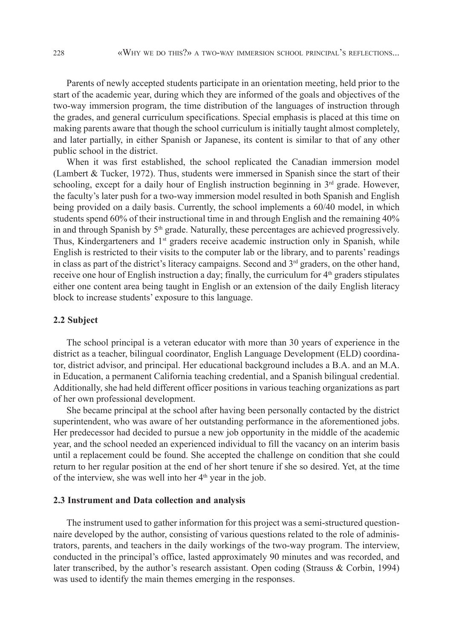Parents of newly accepted students participate in an orientation meeting, held prior to the start of the academic year, during which they are informed of the goals and objectives of the two-way immersion program, the time distribution of the languages of instruction through the grades, and general curriculum specifications. Special emphasis is placed at this time on making parents aware that though the school curriculum is initially taught almost completely, and later partially, in either Spanish or Japanese, its content is similar to that of any other public school in the district.

When it was first established, the school replicated the Canadian immersion model (Lambert & Tucker, 1972). Thus, students were immersed in Spanish since the start of their schooling, except for a daily hour of English instruction beginning in  $3<sup>rd</sup>$  grade. However, the faculty's later push for a two-way immersion model resulted in both Spanish and English being provided on a daily basis. Currently, the school implements a 60/40 model, in which students spend 60% of their instructional time in and through English and the remaining 40% in and through Spanish by 5<sup>th</sup> grade. Naturally, these percentages are achieved progressively. Thus, Kindergarteners and  $1<sup>st</sup>$  graders receive academic instruction only in Spanish, while English is restricted to their visits to the computer lab or the library, and to parents' readings in class as part of the district's literacy campaigns. Second and  $3<sup>rd</sup>$  graders, on the other hand, receive one hour of English instruction a day; finally, the curriculum for  $4<sup>th</sup>$  graders stipulates either one content area being taught in English or an extension of the daily English literacy block to increase students' exposure to this language.

#### **2.2 Subject**

The school principal is a veteran educator with more than 30 years of experience in the district as a teacher, bilingual coordinator, English Language Development (ELD) coordinator, district advisor, and principal. Her educational background includes a B.A. and an M.A. in Education, a permanent California teaching credential, and a Spanish bilingual credential. Additionally, she had held different officer positions in various teaching organizations as part of her own professional development.

She became principal at the school after having been personally contacted by the district superintendent, who was aware of her outstanding performance in the aforementioned jobs. Her predecessor had decided to pursue a new job opportunity in the middle of the academic year, and the school needed an experienced individual to fill the vacancy on an interim basis until a replacement could be found. She accepted the challenge on condition that she could return to her regular position at the end of her short tenure if she so desired. Yet, at the time of the interview, she was well into her  $4<sup>th</sup>$  year in the job.

#### **2.3 Instrument and Data collection and analysis**

The instrument used to gather information for this project was a semi-structured questionnaire developed by the author, consisting of various questions related to the role of administrators, parents, and teachers in the daily workings of the two-way program. The interview, conducted in the principal's office, lasted approximately 90 minutes and was recorded, and later transcribed, by the author's research assistant. Open coding (Strauss & Corbin, 1994) was used to identify the main themes emerging in the responses.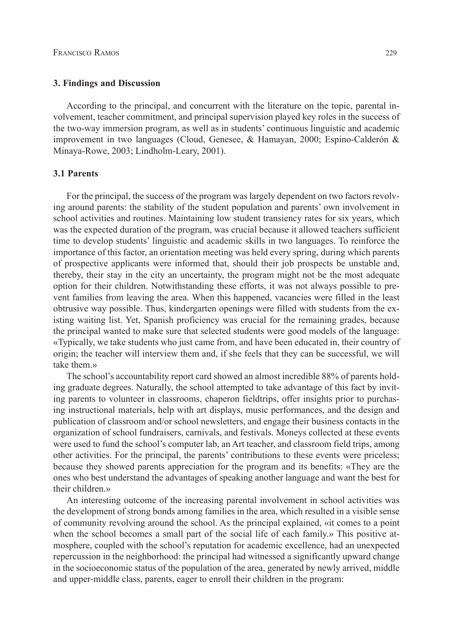# **3. Findings and Discussion**

According to the principal, and concurrent with the literature on the topic, parental involvement, teacher commitment, and principal supervision played key roles in the success of the two-way immersion program, as well as in students' continuous linguistic and academic improvement in two languages (Cloud, Genesee, & Hamayan, 2000; Espino-Calderón & Minaya-Rowe, 2003; Lindholm-Leary, 2001).

# **3.1 Parents**

For the principal, the success of the program was largely dependent on two factors revolving around parents: the stability of the student population and parents' own involvement in school activities and routines. Maintaining low student transiency rates for six years, which was the expected duration of the program, was crucial because it allowed teachers sufficient time to develop students' linguistic and academic skills in two languages. To reinforce the importance of this factor, an orientation meeting was held every spring, during which parents of prospective applicants were informed that, should their job prospects be unstable and, thereby, their stay in the city an uncertainty, the program might not be the most adequate option for their children. Notwithstanding these efforts, it was not always possible to prevent families from leaving the area. When this happened, vacancies were filled in the least obtrusive way possible. Thus, kindergarten openings were filled with students from the existing waiting list. Yet, Spanish proficiency was crucial for the remaining grades, because the principal wanted to make sure that selected students were good models of the language: «Typically, we take students who just came from, and have been educated in, their country of origin; the teacher will interview them and, if she feels that they can be successful, we will take them »

The school's accountability report card showed an almost incredible 88% of parents holding graduate degrees. Naturally, the school attempted to take advantage of this fact by inviting parents to volunteer in classrooms, chaperon fieldtrips, offer insights prior to purchasing instructional materials, help with art displays, music performances, and the design and publication of classroom and/or school newsletters, and engage their business contacts in the organization of school fundraisers, carnivals, and festivals. Moneys collected at these events were used to fund the school's computer lab, an Art teacher, and classroom field trips, among other activities. For the principal, the parents' contributions to these events were priceless; because they showed parents appreciation for the program and its benefits: «They are the ones who best understand the advantages of speaking another language and want the best for their children.»

An interesting outcome of the increasing parental involvement in school activities was the development of strong bonds among families in the area, which resulted in a visible sense of community revolving around the school. As the principal explained, «it comes to a point when the school becomes a small part of the social life of each family.» This positive atmosphere, coupled with the school's reputation for academic excellence, had an unexpected repercussion in the neighborhood: the principal had witnessed a significantly upward change in the socioeconomic status of the population of the area, generated by newly arrived, middle and upper-middle class, parents, eager to enroll their children in the program: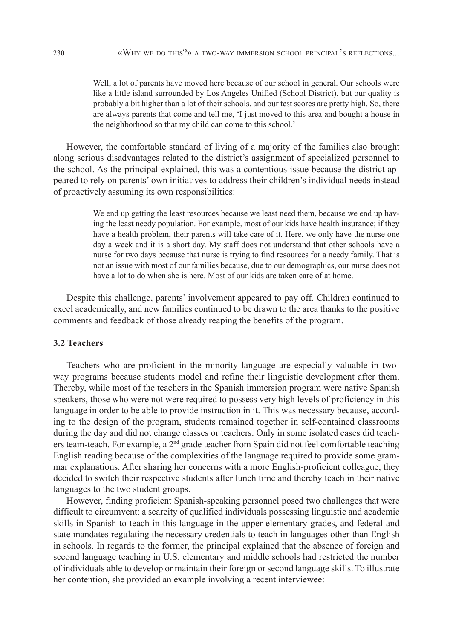Well, a lot of parents have moved here because of our school in general. Our schools were like a little island surrounded by Los Angeles Unified (School District), but our quality is probably a bit higher than a lot of their schools, and our test scores are pretty high. So, there are always parents that come and tell me, 'I just moved to this area and bought a house in the neighborhood so that my child can come to this school.'

However, the comfortable standard of living of a majority of the families also brought along serious disadvantages related to the district's assignment of specialized personnel to the school. As the principal explained, this was a contentious issue because the district appeared to rely on parents' own initiatives to address their children's individual needs instead of proactively assuming its own responsibilities:

> We end up getting the least resources because we least need them, because we end up having the least needy population. For example, most of our kids have health insurance; if they have a health problem, their parents will take care of it. Here, we only have the nurse one day a week and it is a short day. My staff does not understand that other schools have a nurse for two days because that nurse is trying to find resources for a needy family. That is not an issue with most of our families because, due to our demographics, our nurse does not have a lot to do when she is here. Most of our kids are taken care of at home.

Despite this challenge, parents' involvement appeared to pay off. Children continued to excel academically, and new families continued to be drawn to the area thanks to the positive comments and feedback of those already reaping the benefits of the program.

# **3.2 Teachers**

Teachers who are proficient in the minority language are especially valuable in twoway programs because students model and refine their linguistic development after them. Thereby, while most of the teachers in the Spanish immersion program were native Spanish speakers, those who were not were required to possess very high levels of proficiency in this language in order to be able to provide instruction in it. This was necessary because, according to the design of the program, students remained together in self-contained classrooms during the day and did not change classes or teachers. Only in some isolated cases did teachers team-teach. For example, a 2nd grade teacher from Spain did not feel comfortable teaching English reading because of the complexities of the language required to provide some grammar explanations. After sharing her concerns with a more English-proficient colleague, they decided to switch their respective students after lunch time and thereby teach in their native languages to the two student groups.

However, finding proficient Spanish-speaking personnel posed two challenges that were difficult to circumvent: a scarcity of qualified individuals possessing linguistic and academic skills in Spanish to teach in this language in the upper elementary grades, and federal and state mandates regulating the necessary credentials to teach in languages other than English in schools. In regards to the former, the principal explained that the absence of foreign and second language teaching in U.S. elementary and middle schools had restricted the number of individuals able to develop or maintain their foreign or second language skills. To illustrate her contention, she provided an example involving a recent interviewee: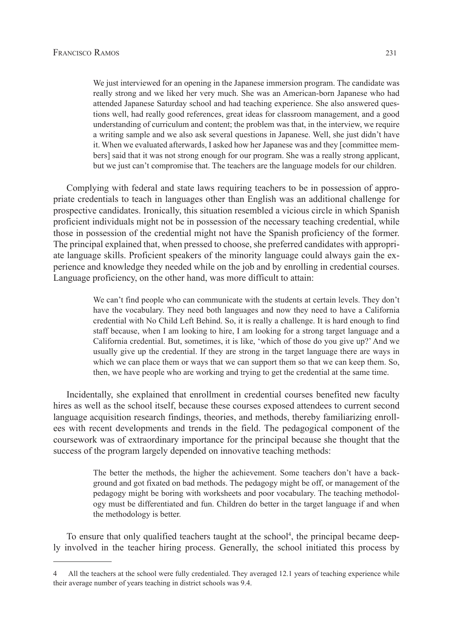We just interviewed for an opening in the Japanese immersion program. The candidate was really strong and we liked her very much. She was an American-born Japanese who had attended Japanese Saturday school and had teaching experience. She also answered questions well, had really good references, great ideas for classroom management, and a good understanding of curriculum and content; the problem was that, in the interview, we require a writing sample and we also ask several questions in Japanese. Well, she just didn't have it. When we evaluated afterwards, I asked how her Japanese was and they [committee members] said that it was not strong enough for our program. She was a really strong applicant, but we just can't compromise that. The teachers are the language models for our children.

Complying with federal and state laws requiring teachers to be in possession of appropriate credentials to teach in languages other than English was an additional challenge for prospective candidates. Ironically, this situation resembled a vicious circle in which Spanish proficient individuals might not be in possession of the necessary teaching credential, while those in possession of the credential might not have the Spanish proficiency of the former. The principal explained that, when pressed to choose, she preferred candidates with appropriate language skills. Proficient speakers of the minority language could always gain the experience and knowledge they needed while on the job and by enrolling in credential courses. Language proficiency, on the other hand, was more difficult to attain:

> We can't find people who can communicate with the students at certain levels. They don't have the vocabulary. They need both languages and now they need to have a California credential with No Child Left Behind. So, it is really a challenge. It is hard enough to find staff because, when I am looking to hire, I am looking for a strong target language and a California credential. But, sometimes, it is like, 'which of those do you give up?' And we usually give up the credential. If they are strong in the target language there are ways in which we can place them or ways that we can support them so that we can keep them. So, then, we have people who are working and trying to get the credential at the same time.

Incidentally, she explained that enrollment in credential courses benefited new faculty hires as well as the school itself, because these courses exposed attendees to current second language acquisition research findings, theories, and methods, thereby familiarizing enrollees with recent developments and trends in the field. The pedagogical component of the coursework was of extraordinary importance for the principal because she thought that the success of the program largely depended on innovative teaching methods:

> The better the methods, the higher the achievement. Some teachers don't have a background and got fixated on bad methods. The pedagogy might be off, or management of the pedagogy might be boring with worksheets and poor vocabulary. The teaching methodology must be differentiated and fun. Children do better in the target language if and when the methodology is better.

To ensure that only qualified teachers taught at the school<sup>4</sup>, the principal became deeply involved in the teacher hiring process. Generally, the school initiated this process by

<sup>4</sup> All the teachers at the school were fully credentialed. They averaged 12.1 years of teaching experience while their average number of years teaching in district schools was 9.4.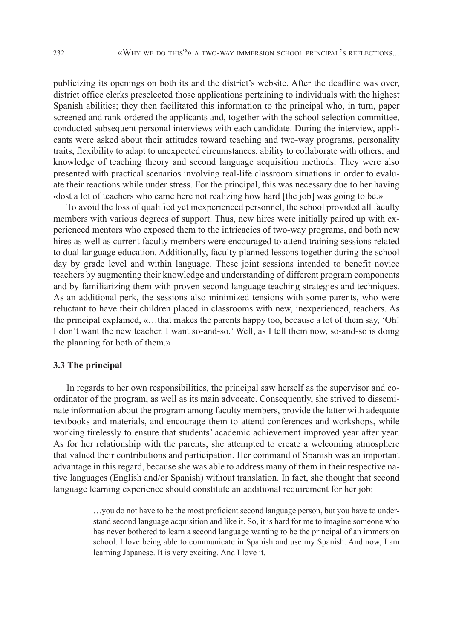publicizing its openings on both its and the district's website. After the deadline was over, district office clerks preselected those applications pertaining to individuals with the highest Spanish abilities; they then facilitated this information to the principal who, in turn, paper screened and rank-ordered the applicants and, together with the school selection committee, conducted subsequent personal interviews with each candidate. During the interview, applicants were asked about their attitudes toward teaching and two-way programs, personality traits, flexibility to adapt to unexpected circumstances, ability to collaborate with others, and knowledge of teaching theory and second language acquisition methods. They were also presented with practical scenarios involving real-life classroom situations in order to evaluate their reactions while under stress. For the principal, this was necessary due to her having «lost a lot of teachers who came here not realizing how hard [the job] was going to be.»

To avoid the loss of qualified yet inexperienced personnel, the school provided all faculty members with various degrees of support. Thus, new hires were initially paired up with experienced mentors who exposed them to the intricacies of two-way programs, and both new hires as well as current faculty members were encouraged to attend training sessions related to dual language education. Additionally, faculty planned lessons together during the school day by grade level and within language. These joint sessions intended to benefit novice teachers by augmenting their knowledge and understanding of different program components and by familiarizing them with proven second language teaching strategies and techniques. As an additional perk, the sessions also minimized tensions with some parents, who were reluctant to have their children placed in classrooms with new, inexperienced, teachers. As the principal explained, «…that makes the parents happy too, because a lot of them say, 'Oh! I don't want the new teacher. I want so-and-so.' Well, as I tell them now, so-and-so is doing the planning for both of them.»

# **3.3 The principal**

In regards to her own responsibilities, the principal saw herself as the supervisor and coordinator of the program, as well as its main advocate. Consequently, she strived to disseminate information about the program among faculty members, provide the latter with adequate textbooks and materials, and encourage them to attend conferences and workshops, while working tirelessly to ensure that students' academic achievement improved year after year. As for her relationship with the parents, she attempted to create a welcoming atmosphere that valued their contributions and participation. Her command of Spanish was an important advantage in this regard, because she was able to address many of them in their respective native languages (English and/or Spanish) without translation. In fact, she thought that second language learning experience should constitute an additional requirement for her job:

> …you do not have to be the most proficient second language person, but you have to understand second language acquisition and like it. So, it is hard for me to imagine someone who has never bothered to learn a second language wanting to be the principal of an immersion school. I love being able to communicate in Spanish and use my Spanish. And now, I am learning Japanese. It is very exciting. And I love it.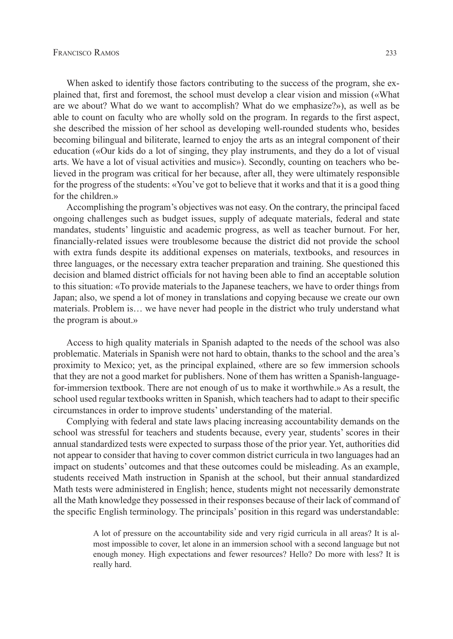When asked to identify those factors contributing to the success of the program, she explained that, first and foremost, the school must develop a clear vision and mission («What are we about? What do we want to accomplish? What do we emphasize?»), as well as be able to count on faculty who are wholly sold on the program. In regards to the first aspect, she described the mission of her school as developing well-rounded students who, besides becoming bilingual and biliterate, learned to enjoy the arts as an integral component of their education («Our kids do a lot of singing, they play instruments, and they do a lot of visual arts. We have a lot of visual activities and music»). Secondly, counting on teachers who believed in the program was critical for her because, after all, they were ultimately responsible for the progress of the students: «You've got to believe that it works and that it is a good thing for the children.»

Accomplishing the program's objectives was not easy. On the contrary, the principal faced ongoing challenges such as budget issues, supply of adequate materials, federal and state mandates, students' linguistic and academic progress, as well as teacher burnout. For her, financially-related issues were troublesome because the district did not provide the school with extra funds despite its additional expenses on materials, textbooks, and resources in three languages, or the necessary extra teacher preparation and training. She questioned this decision and blamed district officials for not having been able to find an acceptable solution to this situation: «To provide materials to the Japanese teachers, we have to order things from Japan; also, we spend a lot of money in translations and copying because we create our own materials. Problem is… we have never had people in the district who truly understand what the program is about.»

Access to high quality materials in Spanish adapted to the needs of the school was also problematic. Materials in Spanish were not hard to obtain, thanks to the school and the area's proximity to Mexico; yet, as the principal explained, «there are so few immersion schools that they are not a good market for publishers. None of them has written a Spanish-languagefor-immersion textbook. There are not enough of us to make it worthwhile.» As a result, the school used regular textbooks written in Spanish, which teachers had to adapt to their specific circumstances in order to improve students' understanding of the material.

Complying with federal and state laws placing increasing accountability demands on the school was stressful for teachers and students because, every year, students' scores in their annual standardized tests were expected to surpass those of the prior year. Yet, authorities did not appear to consider that having to cover common district curricula in two languages had an impact on students' outcomes and that these outcomes could be misleading. As an example, students received Math instruction in Spanish at the school, but their annual standardized Math tests were administered in English; hence, students might not necessarily demonstrate all the Math knowledge they possessed in their responses because of their lack of command of the specific English terminology. The principals' position in this regard was understandable:

> A lot of pressure on the accountability side and very rigid curricula in all areas? It is almost impossible to cover, let alone in an immersion school with a second language but not enough money. High expectations and fewer resources? Hello? Do more with less? It is really hard.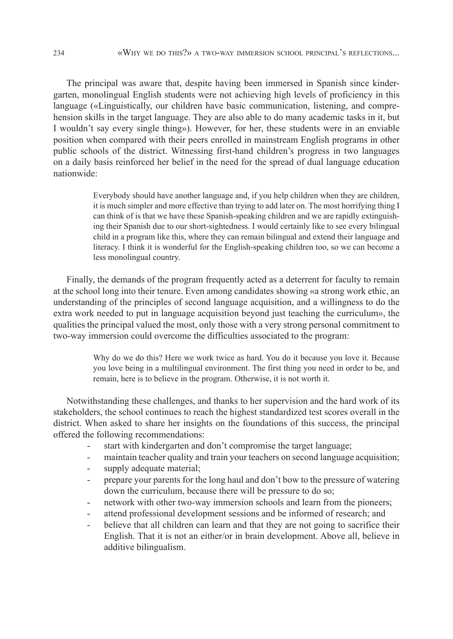The principal was aware that, despite having been immersed in Spanish since kindergarten, monolingual English students were not achieving high levels of proficiency in this language («Linguistically, our children have basic communication, listening, and comprehension skills in the target language. They are also able to do many academic tasks in it, but I wouldn't say every single thing»). However, for her, these students were in an enviable position when compared with their peers enrolled in mainstream English programs in other public schools of the district. Witnessing first-hand children's progress in two languages on a daily basis reinforced her belief in the need for the spread of dual language education nationwide:

> Everybody should have another language and, if you help children when they are children, it is much simpler and more effective than trying to add later on. The most horrifying thing I can think of is that we have these Spanish-speaking children and we are rapidly extinguishing their Spanish due to our short-sightedness. I would certainly like to see every bilingual child in a program like this, where they can remain bilingual and extend their language and literacy. I think it is wonderful for the English-speaking children too, so we can become a less monolingual country.

Finally, the demands of the program frequently acted as a deterrent for faculty to remain at the school long into their tenure. Even among candidates showing «a strong work ethic, an understanding of the principles of second language acquisition, and a willingness to do the extra work needed to put in language acquisition beyond just teaching the curriculum», the qualities the principal valued the most, only those with a very strong personal commitment to two-way immersion could overcome the difficulties associated to the program:

> Why do we do this? Here we work twice as hard. You do it because you love it. Because you love being in a multilingual environment. The first thing you need in order to be, and remain, here is to believe in the program. Otherwise, it is not worth it.

Notwithstanding these challenges, and thanks to her supervision and the hard work of its stakeholders, the school continues to reach the highest standardized test scores overall in the district. When asked to share her insights on the foundations of this success, the principal offered the following recommendations:

- start with kindergarten and don't compromise the target language;
- maintain teacher quality and train your teachers on second language acquisition;
- supply adequate material;
- prepare your parents for the long haul and don't bow to the pressure of watering down the curriculum, because there will be pressure to do so;
- network with other two-way immersion schools and learn from the pioneers;
- attend professional development sessions and be informed of research; and
- believe that all children can learn and that they are not going to sacrifice their English. That it is not an either/or in brain development. Above all, believe in additive bilingualism.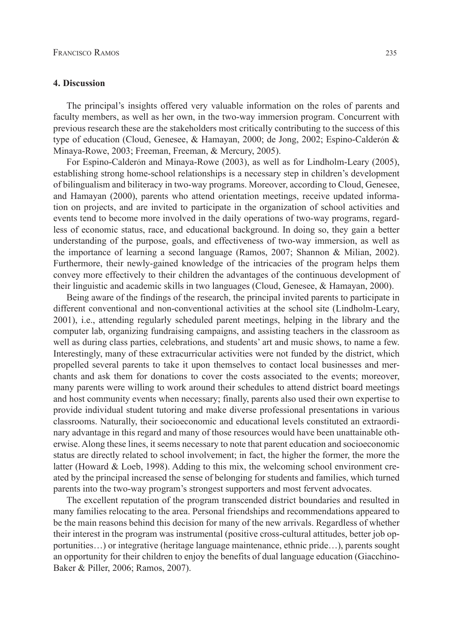# **4. Discussion**

The principal's insights offered very valuable information on the roles of parents and faculty members, as well as her own, in the two-way immersion program. Concurrent with previous research these are the stakeholders most critically contributing to the success of this type of education (Cloud, Genesee, & Hamayan, 2000; de Jong, 2002; Espino-Calderón & Minaya-Rowe, 2003; Freeman, Freeman, & Mercury, 2005).

For Espino-Calderón and Minaya-Rowe (2003), as well as for Lindholm-Leary (2005), establishing strong home-school relationships is a necessary step in children's development of bilingualism and biliteracy in two-way programs. Moreover, according to Cloud, Genesee, and Hamayan (2000), parents who attend orientation meetings, receive updated information on projects, and are invited to participate in the organization of school activities and events tend to become more involved in the daily operations of two-way programs, regardless of economic status, race, and educational background. In doing so, they gain a better understanding of the purpose, goals, and effectiveness of two-way immersion, as well as the importance of learning a second language (Ramos, 2007; Shannon & Milian, 2002). Furthermore, their newly-gained knowledge of the intricacies of the program helps them convey more effectively to their children the advantages of the continuous development of their linguistic and academic skills in two languages (Cloud, Genesee, & Hamayan, 2000).

Being aware of the findings of the research, the principal invited parents to participate in different conventional and non-conventional activities at the school site (Lindholm-Leary, 2001), i.e., attending regularly scheduled parent meetings, helping in the library and the computer lab, organizing fundraising campaigns, and assisting teachers in the classroom as well as during class parties, celebrations, and students' art and music shows, to name a few. Interestingly, many of these extracurricular activities were not funded by the district, which propelled several parents to take it upon themselves to contact local businesses and merchants and ask them for donations to cover the costs associated to the events; moreover, many parents were willing to work around their schedules to attend district board meetings and host community events when necessary; finally, parents also used their own expertise to provide individual student tutoring and make diverse professional presentations in various classrooms. Naturally, their socioeconomic and educational levels constituted an extraordinary advantage in this regard and many of those resources would have been unattainable otherwise. Along these lines, it seems necessary to note that parent education and socioeconomic status are directly related to school involvement; in fact, the higher the former, the more the latter (Howard & Loeb, 1998). Adding to this mix, the welcoming school environment created by the principal increased the sense of belonging for students and families, which turned parents into the two-way program's strongest supporters and most fervent advocates.

The excellent reputation of the program transcended district boundaries and resulted in many families relocating to the area. Personal friendships and recommendations appeared to be the main reasons behind this decision for many of the new arrivals. Regardless of whether their interest in the program was instrumental (positive cross-cultural attitudes, better job opportunities…) or integrative (heritage language maintenance, ethnic pride…), parents sought an opportunity for their children to enjoy the benefits of dual language education (Giacchino-Baker & Piller, 2006; Ramos, 2007).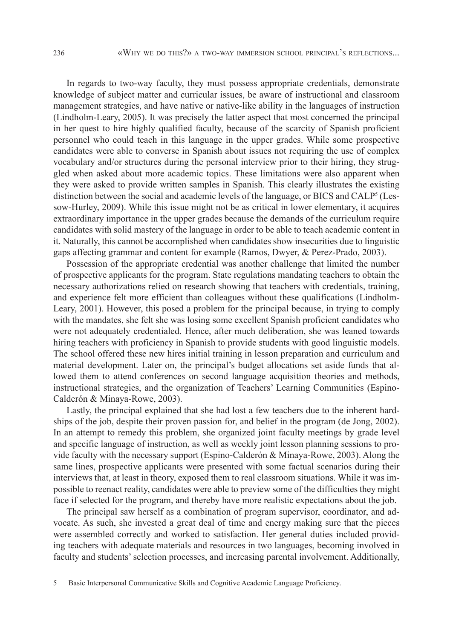In regards to two-way faculty, they must possess appropriate credentials, demonstrate knowledge of subject matter and curricular issues, be aware of instructional and classroom management strategies, and have native or native-like ability in the languages of instruction (Lindholm-Leary, 2005). It was precisely the latter aspect that most concerned the principal in her quest to hire highly qualified faculty, because of the scarcity of Spanish proficient personnel who could teach in this language in the upper grades. While some prospective candidates were able to converse in Spanish about issues not requiring the use of complex vocabulary and/or structures during the personal interview prior to their hiring, they struggled when asked about more academic topics. These limitations were also apparent when they were asked to provide written samples in Spanish. This clearly illustrates the existing distinction between the social and academic levels of the language, or BICS and  $CALP<sup>5</sup>$  (Lessow-Hurley, 2009). While this issue might not be as critical in lower elementary, it acquires extraordinary importance in the upper grades because the demands of the curriculum require candidates with solid mastery of the language in order to be able to teach academic content in it. Naturally, this cannot be accomplished when candidates show insecurities due to linguistic gaps affecting grammar and content for example (Ramos, Dwyer, & Perez-Prado, 2003).

Possession of the appropriate credential was another challenge that limited the number of prospective applicants for the program. State regulations mandating teachers to obtain the necessary authorizations relied on research showing that teachers with credentials, training, and experience felt more efficient than colleagues without these qualifications (Lindholm-Leary, 2001). However, this posed a problem for the principal because, in trying to comply with the mandates, she felt she was losing some excellent Spanish proficient candidates who were not adequately credentialed. Hence, after much deliberation, she was leaned towards hiring teachers with proficiency in Spanish to provide students with good linguistic models. The school offered these new hires initial training in lesson preparation and curriculum and material development. Later on, the principal's budget allocations set aside funds that allowed them to attend conferences on second language acquisition theories and methods, instructional strategies, and the organization of Teachers' Learning Communities (Espino-Calderón & Minaya-Rowe, 2003).

Lastly, the principal explained that she had lost a few teachers due to the inherent hardships of the job, despite their proven passion for, and belief in the program (de Jong, 2002). In an attempt to remedy this problem, she organized joint faculty meetings by grade level and specific language of instruction, as well as weekly joint lesson planning sessions to provide faculty with the necessary support (Espino-Calderón & Minaya-Rowe, 2003). Along the same lines, prospective applicants were presented with some factual scenarios during their interviews that, at least in theory, exposed them to real classroom situations. While it was impossible to reenact reality, candidates were able to preview some of the difficulties they might face if selected for the program, and thereby have more realistic expectations about the job.

The principal saw herself as a combination of program supervisor, coordinator, and advocate. As such, she invested a great deal of time and energy making sure that the pieces were assembled correctly and worked to satisfaction. Her general duties included providing teachers with adequate materials and resources in two languages, becoming involved in faculty and students' selection processes, and increasing parental involvement. Additionally,

<sup>5</sup> Basic Interpersonal Communicative Skills and Cognitive Academic Language Proficiency.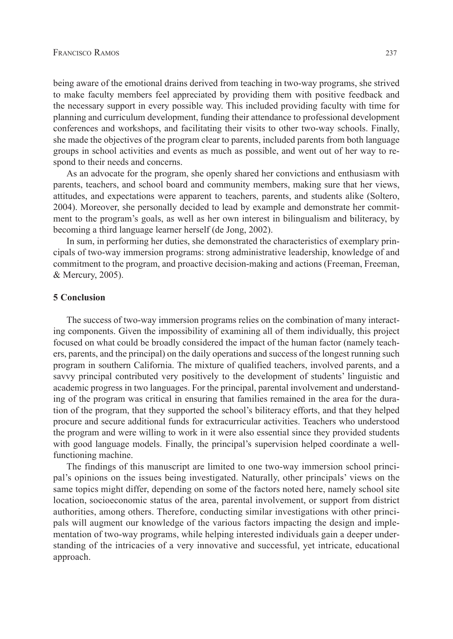being aware of the emotional drains derived from teaching in two-way programs, she strived to make faculty members feel appreciated by providing them with positive feedback and the necessary support in every possible way. This included providing faculty with time for planning and curriculum development, funding their attendance to professional development conferences and workshops, and facilitating their visits to other two-way schools. Finally, she made the objectives of the program clear to parents, included parents from both language groups in school activities and events as much as possible, and went out of her way to respond to their needs and concerns.

As an advocate for the program, she openly shared her convictions and enthusiasm with parents, teachers, and school board and community members, making sure that her views, attitudes, and expectations were apparent to teachers, parents, and students alike (Soltero, 2004). Moreover, she personally decided to lead by example and demonstrate her commitment to the program's goals, as well as her own interest in bilingualism and biliteracy, by becoming a third language learner herself (de Jong, 2002).

In sum, in performing her duties, she demonstrated the characteristics of exemplary principals of two-way immersion programs: strong administrative leadership, knowledge of and commitment to the program, and proactive decision-making and actions (Freeman, Freeman, & Mercury, 2005).

# **5 Conclusion**

The success of two-way immersion programs relies on the combination of many interacting components. Given the impossibility of examining all of them individually, this project focused on what could be broadly considered the impact of the human factor (namely teachers, parents, and the principal) on the daily operations and success of the longest running such program in southern California. The mixture of qualified teachers, involved parents, and a savvy principal contributed very positively to the development of students' linguistic and academic progress in two languages. For the principal, parental involvement and understanding of the program was critical in ensuring that families remained in the area for the duration of the program, that they supported the school's biliteracy efforts, and that they helped procure and secure additional funds for extracurricular activities. Teachers who understood the program and were willing to work in it were also essential since they provided students with good language models. Finally, the principal's supervision helped coordinate a wellfunctioning machine.

The findings of this manuscript are limited to one two-way immersion school principal's opinions on the issues being investigated. Naturally, other principals' views on the same topics might differ, depending on some of the factors noted here, namely school site location, socioeconomic status of the area, parental involvement, or support from district authorities, among others. Therefore, conducting similar investigations with other principals will augment our knowledge of the various factors impacting the design and implementation of two-way programs, while helping interested individuals gain a deeper understanding of the intricacies of a very innovative and successful, yet intricate, educational approach.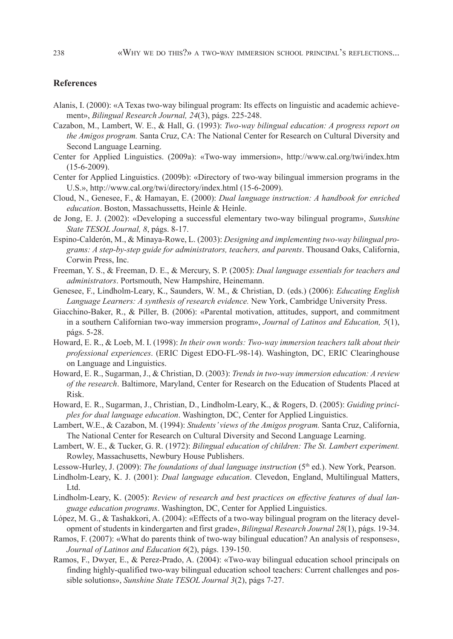# **References**

- Alanis, I. (2000): «A Texas two-way bilingual program: Its effects on linguistic and academic achievement», *Bilingual Research Journal, 24*(3), págs. 225-248.
- Cazabon, M., Lambert, W. E., & Hall, G. (1993): *Two-way bilingual education: A progress report on the Amigos program.* Santa Cruz, CA: The National Center for Research on Cultural Diversity and Second Language Learning.
- Center for Applied Linguistics. (2009a): «Two-way immersion», http://www.cal.org/twi/index.htm (15-6-2009).
- Center for Applied Linguistics. (2009b): «Directory of two-way bilingual immersion programs in the U.S.», http://www.cal.org/twi/directory/index.html (15-6-2009).
- Cloud, N., Genesee, F., & Hamayan, E. (2000): *Dual language instruction: A handbook for enriched*  education. Boston, Massachussetts, Heinle & Heinle.
- de Jong, E. J. (2002): «Developing a successful elementary two-way bilingual program», *Sunshine State TESOL Journal, 8*, págs. 8-17.
- Espino-Calderón, M., & Minaya-Rowe, L. (2003): *Designing and implementing two-way bilingual programs: A step-by-step guide for administrators, teachers, and parents*. Thousand Oaks, California, Corwin Press, Inc.
- Freeman, Y. S., & Freeman, D. E., & Mercury, S. P. (2005): *Dual language essentials for teachers and administrators*. Portsmouth, New Hampshire, Heinemann.
- Genesee, F., Lindholm-Leary, K., Saunders, W. M., & Christian, D. (eds.) (2006): *Educating English Language Learners: A synthesis of research evidence.* New York, Cambridge University Press.
- Giacchino-Baker, R., & Piller, B. (2006): «Parental motivation, attitudes, support, and commitment in a southern Californian two-way immersion program», *Journal of Latinos and Education, 5*(1), págs. 5-28.
- Howard, E. R., & Loeb, M. I. (1998): *In their own words: Two-way immersion teachers talk about their professional experiences*. (ERIC Digest EDO-FL-98-14). Washington, DC, ERIC Clearinghouse on Language and Linguistics.
- Howard, E. R., Sugarman, J., & Christian, D. (2003): *Trends in two-way immersion education: A review of the research*. Baltimore, Maryland, Center for Research on the Education of Students Placed at Risk.
- Howard, E. R., Sugarman, J., Christian, D., Lindholm-Leary, K., & Rogers, D. (2005): *Guiding principles for dual language education*. Washington, DC, Center for Applied Linguistics.
- Lambert, W.E., & Cazabon, M. (1994): *Students' views of the Amigos program.* Santa Cruz, California, The National Center for Research on Cultural Diversity and Second Language Learning.
- Lambert, W. E., & Tucker, G. R. (1972): *Bilingual education of children: The St. Lambert experiment.* Rowley, Massachusetts, Newbury House Publishers.
- Lessow-Hurley, J. (2009): *The foundations of dual language instruction* (5th ed.). New York, Pearson.
- Lindholm-Leary, K. J. (2001): *Dual language education*. Clevedon, England, Multilingual Matters, Ltd.
- Lindholm-Leary, K. (2005): *Review of research and best practices on effective features of dual language education programs*. Washington, DC, Center for Applied Linguistics.
- López, M. G., & Tashakkori, A. (2004): «Effects of a two-way bilingual program on the literacy development of students in kindergarten and first grade», *Bilingual Research Journal 28*(1), págs. 19-34.
- Ramos, F. (2007): «What do parents think of two-way bilingual education? An analysis of responses», *Journal of Latinos and Education 6*(2), págs. 139-150.
- Ramos, F., Dwyer, E., & Perez-Prado, A. (2004): «Two-way bilingual education school principals on finding highly-qualified two-way bilingual education school teachers: Current challenges and possible solutions», *Sunshine State TESOL Journal 3*(2), págs 7-27.